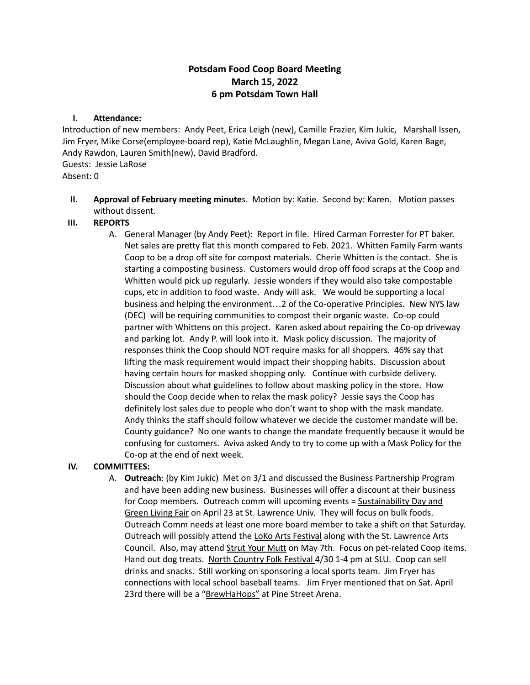# **Potsdam Food Coop Board Meeting March 15, 2022 6 pm Potsdam Town Hall**

#### **I. Attendance:**

Introduction of new members: Andy Peet, Erica Leigh (new), Camille Frazier, Kim Jukic, Marshall Issen, Jim Fryer, Mike Corse(employee-board rep), Katie McLaughlin, Megan Lane, Aviva Gold, Karen Bage, Andy Rawdon, Lauren Smith(new), David Bradford. Guests: Jessie LaRose

Absent: 0

**II. Approval of February meeting minute**s. Motion by: Katie. Second by: Karen. Motion passes without dissent.

#### **III. REPORTS**

A. General Manager (by Andy Peet): Report in file. Hired Carman Forrester for PT baker. Net sales are pretty flat this month compared to Feb. 2021. Whitten Family Farm wants Coop to be a drop off site for compost materials. Cherie Whitten is the contact. She is starting a composting business. Customers would drop off food scraps at the Coop and Whitten would pick up regularly. Jessie wonders if they would also take compostable cups, etc in addition to food waste. Andy will ask. We would be supporting a local business and helping the environment…2 of the Co-operative Principles. New NYS law (DEC) will be requiring communities to compost their organic waste. Co-op could partner with Whittens on this project. Karen asked about repairing the Co-op driveway and parking lot. Andy P. will look into it. Mask policy discussion. The majority of responses think the Coop should NOT require masks for all shoppers. 46% say that lifting the mask requirement would impact their shopping habits. Discussion about having certain hours for masked shopping only. Continue with curbside delivery. Discussion about what guidelines to follow about masking policy in the store. How should the Coop decide when to relax the mask policy? Jessie says the Coop has definitely lost sales due to people who don't want to shop with the mask mandate. Andy thinks the staff should follow whatever we decide the customer mandate will be. County guidance? No one wants to change the mandate frequently because it would be confusing for customers. Aviva asked Andy to try to come up with a Mask Policy for the Co-op at the end of next week.

#### **IV. COMMITTEES:**

A. **Outreach**: (by Kim Jukic) Met on 3/1 and discussed the Business Partnership Program and have been adding new business. Businesses will offer a discount at their business for Coop members. Outreach comm will upcoming events = Sustainability Day and Green Living Fair on April 23 at St. Lawrence Univ. They will focus on bulk foods. Outreach Comm needs at least one more board member to take a shift on that Saturday. Outreach will possibly attend the LoKo Arts Festival along with the St. Lawrence Arts Council. Also, may attend Strut Your Mutt on May 7th. Focus on pet-related Coop items. Hand out dog treats. North Country Folk Festival 4/30 1-4 pm at SLU. Coop can sell drinks and snacks. Still working on sponsoring a local sports team. Jim Fryer has connections with local school baseball teams. Jim Fryer mentioned that on Sat. April 23rd there will be a "BrewHaHops" at Pine Street Arena.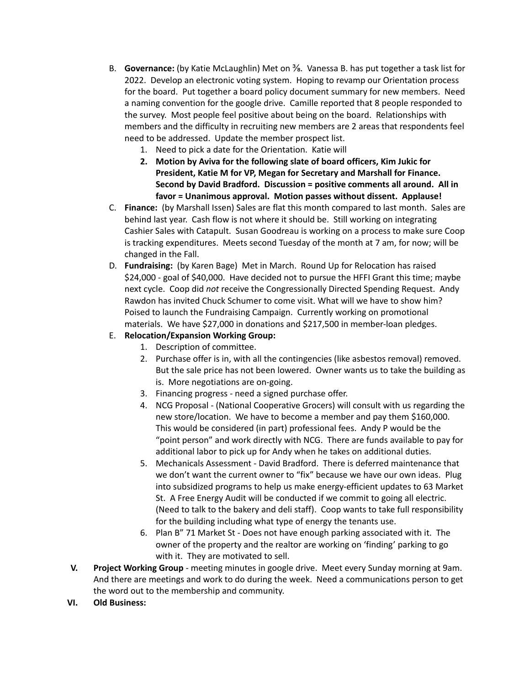- B. **Governance:** (by Katie McLaughlin) Met on ⅜. Vanessa B. has put together a task list for 2022. Develop an electronic voting system. Hoping to revamp our Orientation process for the board. Put together a board policy document summary for new members. Need a naming convention for the google drive. Camille reported that 8 people responded to the survey. Most people feel positive about being on the board. Relationships with members and the difficulty in recruiting new members are 2 areas that respondents feel need to be addressed. Update the member prospect list.
	- 1. Need to pick a date for the Orientation. Katie will
	- **2. Motion by Aviva for the following slate of board officers, Kim Jukic for President, Katie M for VP, Megan for Secretary and Marshall for Finance. Second by David Bradford. Discussion = positive comments all around. All in favor = Unanimous approval. Motion passes without dissent. Applause!**
- C. **Finance:** (by Marshall Issen) Sales are flat this month compared to last month. Sales are behind last year. Cash flow is not where it should be. Still working on integrating Cashier Sales with Catapult. Susan Goodreau is working on a process to make sure Coop is tracking expenditures. Meets second Tuesday of the month at 7 am, for now; will be changed in the Fall.
- D. **Fundraising:** (by Karen Bage) Met in March. Round Up for Relocation has raised \$24,000 - goal of \$40,000. Have decided not to pursue the HFFI Grant this time; maybe next cycle. Coop did *not* receive the Congressionally Directed Spending Request. Andy Rawdon has invited Chuck Schumer to come visit. What will we have to show him? Poised to launch the Fundraising Campaign. Currently working on promotional materials. We have \$27,000 in donations and \$217,500 in member-loan pledges.

## E. **Relocation/Expansion Working Group:**

- 1. Description of committee.
- 2. Purchase offer is in, with all the contingencies (like asbestos removal) removed. But the sale price has not been lowered. Owner wants us to take the building as is. More negotiations are on-going.
- 3. Financing progress need a signed purchase offer.
- 4. NCG Proposal (National Cooperative Grocers) will consult with us regarding the new store/location. We have to become a member and pay them \$160,000. This would be considered (in part) professional fees. Andy P would be the "point person" and work directly with NCG. There are funds available to pay for additional labor to pick up for Andy when he takes on additional duties.
- 5. Mechanicals Assessment David Bradford. There is deferred maintenance that we don't want the current owner to "fix" because we have our own ideas. Plug into subsidized programs to help us make energy-efficient updates to 63 Market St. A Free Energy Audit will be conducted if we commit to going all electric. (Need to talk to the bakery and deli staff). Coop wants to take full responsibility for the building including what type of energy the tenants use.
- 6. Plan B" 71 Market St Does not have enough parking associated with it. The owner of the property and the realtor are working on 'finding' parking to go with it. They are motivated to sell.
- **V. Project Working Group** meeting minutes in google drive. Meet every Sunday morning at 9am. And there are meetings and work to do during the week. Need a communications person to get the word out to the membership and community.
- **VI. Old Business:**